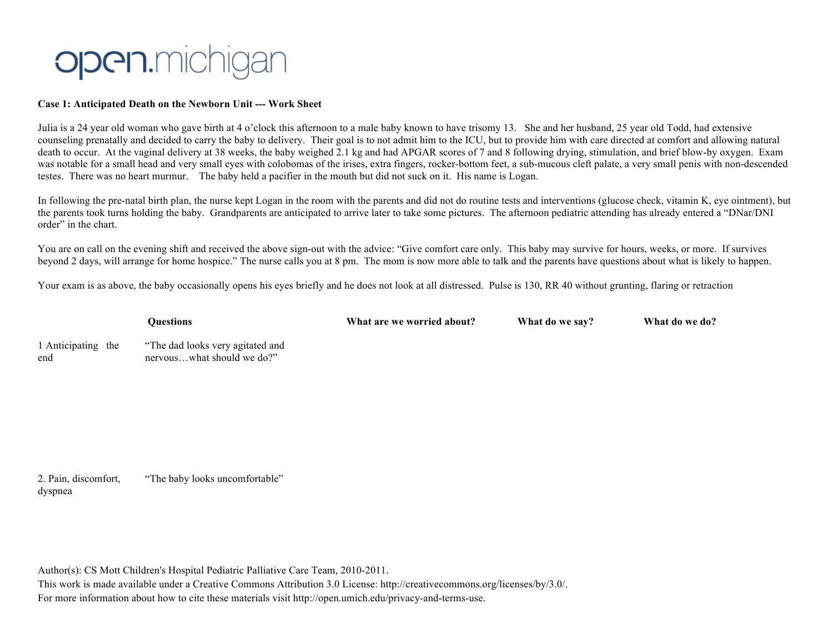## **Open.**michigan

## **Case 1: Anticipated Death on the Newborn Unit --- Work Sheet**

Julia is a 24 year old woman who gave birth at 4 o'clock this afternoon to a male baby known to have trisomy 13. She and her husband, 25 year old Todd, had extensive counseling prenatally and decided to carry the baby to delivery. Their goal is to not admit him to the ICU, but to provide him with care directed at comfort and allowing natural death to occur. At the vaginal delivery at 38 weeks, the baby weighed 2.1 kg and had APGAR scores of 7 and 8 following drying, stimulation, and brief blow-by oxygen. Exam was notable for a small head and very small eyes with colobomas of the irises, extra fingers, rocker-bottom feet, a sub-mucous cleft palate, a very small penis with non-descended testes. There was no heart murmur. The baby held a pacifier in the mouth but did not suck on it. His name is Logan.

In following the pre-natal birth plan, the nurse kept Logan in the room with the parents and did not do routine tests and interventions (glucose check, vitamin K, eye ointment), but the parents took turns holding the baby. Grandparents are anticipated to arrive later to take some pictures. The afternoon pediatric attending has already entered a "DNar/DNI order" in the chart.

You are on call on the evening shift and received the above sign-out with the advice: "Give comfort care only. This baby may survive for hours, weeks, or more. If survives beyond 2 days, will arrange for home hospice." The nurse calls you at 8 pm. The mom is now more able to talk and the parents have questions about what is likely to happen.

Your exam is as above, the baby occasionally opens his eyes briefly and he does not look at all distressed. Pulse is 130, RR 40 without grunting, flaring or retraction

|                           | <b>Ouestions</b>                                               | What are we worried about? | What do we say? | What do we do? |
|---------------------------|----------------------------------------------------------------|----------------------------|-----------------|----------------|
| 1 Anticipating the<br>end | "The dad looks very agitated and<br>nervouswhat should we do?" |                            |                 |                |

2. Pain, discomfort, dyspnea "The baby looks uncomfortable"

Author(s): CS Mott Children's Hospital Pediatric Palliative Care Team, 2010-2011.

This work is made available under a Creative Commons Attribution 3.0 License: http://creativecommons.org/licenses/by/3.0/. For more information about how to cite these materials visit http://open.umich.edu/privacy-and-terms-use.